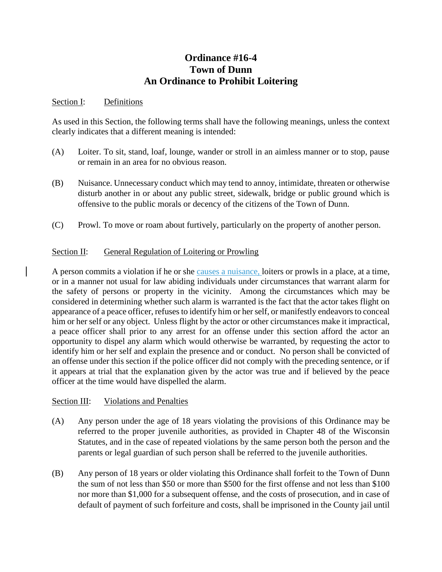## **Ordinance #16-4 Town of Dunn An Ordinance to Prohibit Loitering**

## Section I: Definitions

As used in this Section, the following terms shall have the following meanings, unless the context clearly indicates that a different meaning is intended:

- (A) Loiter. To sit, stand, loaf, lounge, wander or stroll in an aimless manner or to stop, pause or remain in an area for no obvious reason.
- (B) Nuisance. Unnecessary conduct which may tend to annoy, intimidate, threaten or otherwise disturb another in or about any public street, sidewalk, bridge or public ground which is offensive to the public morals or decency of the citizens of the Town of Dunn.
- (C) Prowl. To move or roam about furtively, particularly on the property of another person.

## Section II: General Regulation of Loitering or Prowling

A person commits a violation if he or she causes a nuisance, loiters or prowls in a place, at a time, or in a manner not usual for law abiding individuals under circumstances that warrant alarm for the safety of persons or property in the vicinity. Among the circumstances which may be considered in determining whether such alarm is warranted is the fact that the actor takes flight on appearance of a peace officer, refuses to identify him or her self, or manifestly endeavors to conceal him or her self or any object. Unless flight by the actor or other circumstances make it impractical, a peace officer shall prior to any arrest for an offense under this section afford the actor an opportunity to dispel any alarm which would otherwise be warranted, by requesting the actor to identify him or her self and explain the presence and or conduct. No person shall be convicted of an offense under this section if the police officer did not comply with the preceding sentence, or if it appears at trial that the explanation given by the actor was true and if believed by the peace officer at the time would have dispelled the alarm.

## Section III: Violations and Penalties

- (A) Any person under the age of 18 years violating the provisions of this Ordinance may be referred to the proper juvenile authorities, as provided in Chapter 48 of the Wisconsin Statutes, and in the case of repeated violations by the same person both the person and the parents or legal guardian of such person shall be referred to the juvenile authorities.
- (B) Any person of 18 years or older violating this Ordinance shall forfeit to the Town of Dunn the sum of not less than \$50 or more than \$500 for the first offense and not less than \$100 nor more than \$1,000 for a subsequent offense, and the costs of prosecution, and in case of default of payment of such forfeiture and costs, shall be imprisoned in the County jail until